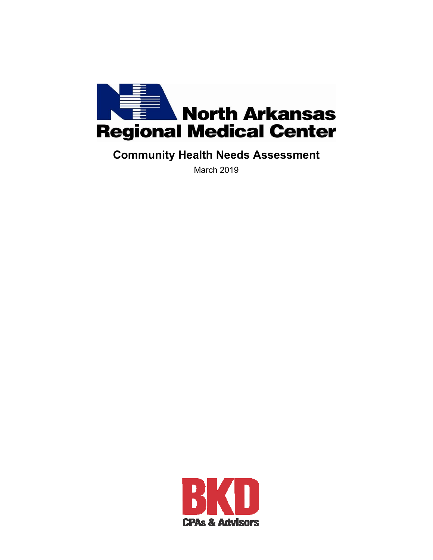

# **Community Health Needs Assessment**

March 2019

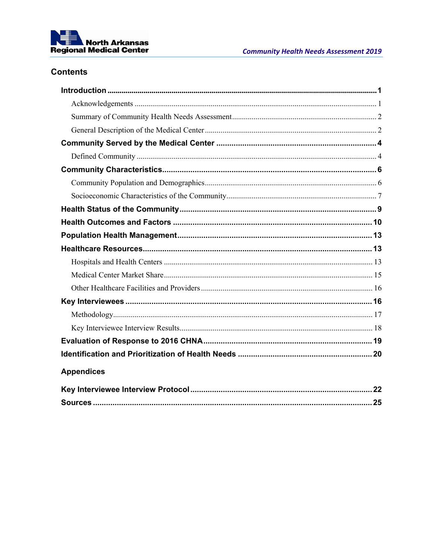

# **Contents**

| <b>Appendices</b> |  |
|-------------------|--|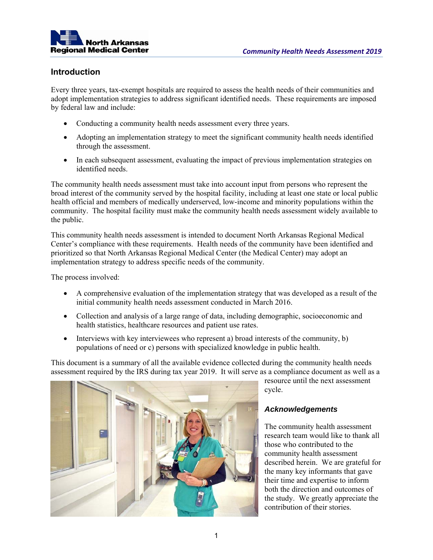

# **Introduction**

Every three years, tax-exempt hospitals are required to assess the health needs of their communities and adopt implementation strategies to address significant identified needs. These requirements are imposed by federal law and include:

- Conducting a community health needs assessment every three years.
- Adopting an implementation strategy to meet the significant community health needs identified through the assessment.
- In each subsequent assessment, evaluating the impact of previous implementation strategies on identified needs.

The community health needs assessment must take into account input from persons who represent the broad interest of the community served by the hospital facility, including at least one state or local public health official and members of medically underserved, low-income and minority populations within the community. The hospital facility must make the community health needs assessment widely available to the public.

This community health needs assessment is intended to document North Arkansas Regional Medical Center's compliance with these requirements. Health needs of the community have been identified and prioritized so that North Arkansas Regional Medical Center (the Medical Center) may adopt an implementation strategy to address specific needs of the community.

The process involved:

- A comprehensive evaluation of the implementation strategy that was developed as a result of the initial community health needs assessment conducted in March 2016.
- Collection and analysis of a large range of data, including demographic, socioeconomic and health statistics, healthcare resources and patient use rates.
- Interviews with key interviewees who represent a) broad interests of the community, b) populations of need or c) persons with specialized knowledge in public health.

This document is a summary of all the available evidence collected during the community health needs assessment required by the IRS during tax year 2019. It will serve as a compliance document as well as a



resource until the next assessment cycle.

# *Acknowledgements*

The community health assessment research team would like to thank all those who contributed to the community health assessment described herein. We are grateful for the many key informants that gave their time and expertise to inform both the direction and outcomes of the study. We greatly appreciate the contribution of their stories.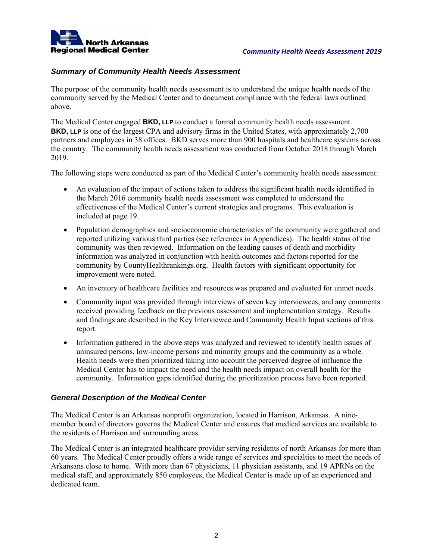

# *Summary of Community Health Needs Assessment*

The purpose of the community health needs assessment is to understand the unique health needs of the community served by the Medical Center and to document compliance with the federal laws outlined above.

The Medical Center engaged **BKD, LLP** to conduct a formal community health needs assessment. **BKD, LLP** is one of the largest CPA and advisory firms in the United States, with approximately 2,700 partners and employees in 38 offices. BKD serves more than 900 hospitals and healthcare systems across the country. The community health needs assessment was conducted from October 2018 through March 2019.

The following steps were conducted as part of the Medical Center's community health needs assessment:

- An evaluation of the impact of actions taken to address the significant health needs identified in the March 2016 community health needs assessment was completed to understand the effectiveness of the Medical Center's current strategies and programs. This evaluation is included at page 19.
- Population demographics and socioeconomic characteristics of the community were gathered and reported utilizing various third parties (see references in Appendices). The health status of the community was then reviewed. Information on the leading causes of death and morbidity information was analyzed in conjunction with health outcomes and factors reported for the community by CountyHealthrankings.org. Health factors with significant opportunity for improvement were noted.
- An inventory of healthcare facilities and resources was prepared and evaluated for unmet needs.
- Community input was provided through interviews of seven key interviewees, and any comments received providing feedback on the previous assessment and implementation strategy. Results and findings are described in the Key Interviewee and Community Health Input sections of this report.
- Information gathered in the above steps was analyzed and reviewed to identify health issues of uninsured persons, low-income persons and minority groups and the community as a whole. Health needs were then prioritized taking into account the perceived degree of influence the Medical Center has to impact the need and the health needs impact on overall health for the community. Information gaps identified during the prioritization process have been reported.

# *General Description of the Medical Center*

The Medical Center is an Arkansas nonprofit organization, located in Harrison, Arkansas. A ninemember board of directors governs the Medical Center and ensures that medical services are available to the residents of Harrison and surrounding areas.

The Medical Center is an integrated healthcare provider serving residents of north Arkansas for more than 60 years. The Medical Center proudly offers a wide range of services and specialties to meet the needs of Arkansans close to home. With more than 67 physicians, 11 physician assistants, and 19 APRNs on the medical staff, and approximately 850 employees, the Medical Center is made up of an experienced and dedicated team.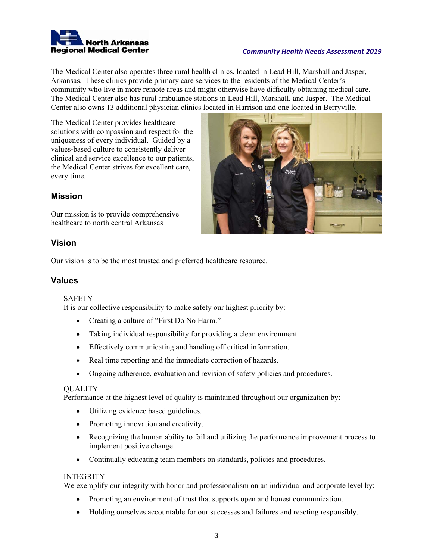

The Medical Center also operates three rural health clinics, located in Lead Hill, Marshall and Jasper, Arkansas. These clinics provide primary care services to the residents of the Medical Center's community who live in more remote areas and might otherwise have difficulty obtaining medical care. The Medical Center also has rural ambulance stations in Lead Hill, Marshall, and Jasper. The Medical Center also owns 13 additional physician clinics located in Harrison and one located in Berryville.

The Medical Center provides healthcare solutions with compassion and respect for the uniqueness of every individual. Guided by a values-based culture to consistently deliver clinical and service excellence to our patients, the Medical Center strives for excellent care, every time.



# **Mission**

Our mission is to provide comprehensive healthcare to north central Arkansas

# **Vision**

Our vision is to be the most trusted and preferred healthcare resource.

# **Values**

# SAFETY

It is our collective responsibility to make safety our highest priority by:

- Creating a culture of "First Do No Harm."
- Taking individual responsibility for providing a clean environment.
- Effectively communicating and handing off critical information.
- Real time reporting and the immediate correction of hazards.
- Ongoing adherence, evaluation and revision of safety policies and procedures.

# QUALITY

Performance at the highest level of quality is maintained throughout our organization by:

- Utilizing evidence based guidelines.
- Promoting innovation and creativity.
- Recognizing the human ability to fail and utilizing the performance improvement process to implement positive change.
- Continually educating team members on standards, policies and procedures.

# INTEGRITY

We exemplify our integrity with honor and professionalism on an individual and corporate level by:

- Promoting an environment of trust that supports open and honest communication.
- Holding ourselves accountable for our successes and failures and reacting responsibly.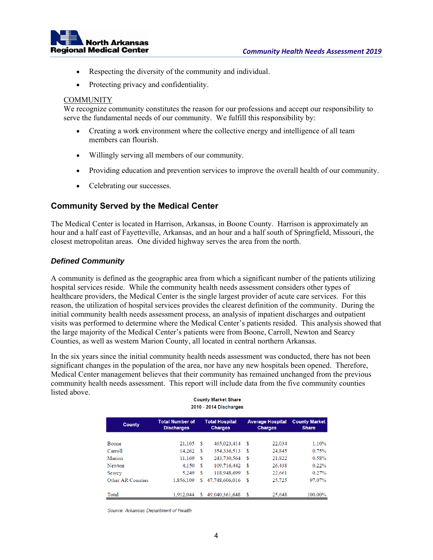

- Respecting the diversity of the community and individual.
- Protecting privacy and confidentiality.

### **COMMUNITY**

We recognize community constitutes the reason for our professions and accept our responsibility to serve the fundamental needs of our community. We fulfill this responsibility by:

- Creating a work environment where the collective energy and intelligence of all team members can flourish.
- Willingly serving all members of our community.
- Providing education and prevention services to improve the overall health of our community.
- Celebrating our successes.

# **Community Served by the Medical Center**

The Medical Center is located in Harrison, Arkansas, in Boone County. Harrison is approximately an hour and a half east of Fayetteville, Arkansas, and an hour and a half south of Springfield, Missouri, the closest metropolitan areas. One divided highway serves the area from the north.

# *Defined Community*

A community is defined as the geographic area from which a significant number of the patients utilizing hospital services reside. While the community health needs assessment considers other types of healthcare providers, the Medical Center is the single largest provider of acute care services. For this reason, the utilization of hospital services provides the clearest definition of the community. During the initial community health needs assessment process, an analysis of inpatient discharges and outpatient visits was performed to determine where the Medical Center's patients resided. This analysis showed that the large majority of the Medical Center's patients were from Boone, Carroll, Newton and Searcy Counties, as well as western Marion County, all located in central northern Arkansas.

In the six years since the initial community health needs assessment was conducted, there has not been significant changes in the population of the area, nor have any new hospitals been opened. Therefore, Medical Center management believes that their community has remained unchanged from the previous community health needs assessment. This report will include data from the five community counties listed above. **County Market Share** 

| 2010 - 2014 Discharges |                                             |    |                                         |    |                                           |                                      |  |  |  |  |
|------------------------|---------------------------------------------|----|-----------------------------------------|----|-------------------------------------------|--------------------------------------|--|--|--|--|
| <b>County</b>          | <b>Total Number of</b><br><b>Discharges</b> |    | <b>Total Hospital</b><br><b>Charges</b> |    | <b>Average Hospital</b><br><b>Charges</b> | <b>County Market</b><br><b>Share</b> |  |  |  |  |
| Boone                  | 21,105                                      | \$ | 465,023,414                             | \$ | 22,034                                    | 1.10%                                |  |  |  |  |
| Carroll                | 14.262                                      | \$ | 354,336,513                             | \$ | 24,845                                    | 0.75%                                |  |  |  |  |
| Marion                 | 11.169                                      | \$ | 243,730,564                             | \$ | 21,822                                    | 0.58%                                |  |  |  |  |
| Newton                 | 4.150                                       | \$ | 109,716,442                             | \$ | 26,438                                    | 0.22%                                |  |  |  |  |
| Searcy                 | 5.249                                       | \$ | 118,948,699                             | \$ | 22.661                                    | 0.27%                                |  |  |  |  |
| Other AR Counties      | 1,856,109                                   | \$ | 47.748.606.016                          | \$ | 25,725                                    | 97.07%                               |  |  |  |  |
| Total                  | 1.912.044                                   | S  | 49.040.361.648                          | \$ | 25,648                                    | 100.00%                              |  |  |  |  |

Source: Arkansas Department of Health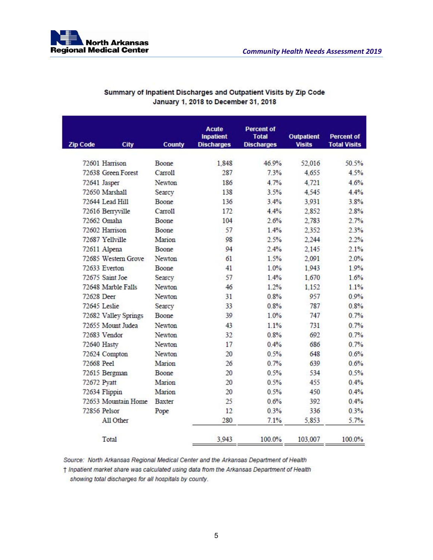

| <b>Zip Code</b><br><b>City</b> | <b>County</b>       | <b>Acute</b><br><b>Inpatient</b><br><b>Discharges</b> | <b>Percent of</b><br><b>Total</b><br><b>Discharges</b> | <b>Outpatient</b><br><b>Visits</b> | Percent of<br><b>Total Visits</b> |
|--------------------------------|---------------------|-------------------------------------------------------|--------------------------------------------------------|------------------------------------|-----------------------------------|
| 72601 Harrison                 | Boone               | 1.848                                                 | 46.9%                                                  | 52,016                             | 50.5%                             |
| 72638 Green Forest             | Carroll             | 287                                                   | 7.3%                                                   | 4.655                              | 4.5%                              |
| 72641 Jasper                   | Newton              | 186                                                   | 4.7%                                                   | 4.721                              | 4.6%                              |
| 72650 Marshall                 | Searcy              | 138                                                   | 3.5%                                                   | 4.545                              | 4.4%                              |
| 72644 Lead Hill                | Boone               | 136                                                   | 3.4%                                                   | 3,931                              | 3.8%                              |
| 72616 Berryville               | Carroll <sub></sub> | 172                                                   | 4.4%                                                   | 2,852                              | 2.8%                              |
| 72662 Omaha                    | Boone               | 104                                                   | 2.6%                                                   | 2,783                              | 2.7%                              |
| 72602 Harrison                 | Boone               | 57                                                    | 1.4%                                                   | 2.352                              | 2.3%                              |
| 72687 Yellville                | Marion              | 98                                                    | 2.5%                                                   | 2.244                              | 2.2%                              |
| 72611 Alpena                   | Boone               | 94                                                    | 2.4%                                                   | 2,145                              | 2.1%                              |
| 72685 Western Grove            | Newton              | 61                                                    | 1.5%                                                   | 2.091                              | 2.0%                              |
| 72633 Everton                  | Boone               | 41                                                    | 1.0%                                                   | 1,943                              | 1.9%                              |
| 72675 Saint Joe                | Searcy              | 57                                                    | 1.4%                                                   | 1,670                              | 1.6%                              |
| 72648 Marble Falls             | Newton              | 46                                                    | 1.2%                                                   | 1,152                              | 1.1%                              |
| 72628 Deer                     | Newton              | 31                                                    | 0.8%                                                   | 957                                | 0.9%                              |
| 72645 Leslie                   | Searcy              | 33                                                    | 0.8%                                                   | 787                                | 0.8%                              |
| 72682 Valley Springs           | Boone               | 39                                                    | 1.0%                                                   | 747                                | 0.7%                              |
| 72655 Mount Judea              | Newton              | 43                                                    | 1.1%                                                   | 731                                | 0.7%                              |
| 72683 Vendor                   | Newton              | 32                                                    | 0.8%                                                   | 692                                | 0.7%                              |
| 72640 Hasty                    | Newton              | 17                                                    | 0.4%                                                   | 686                                | 0.7%                              |
| 72624 Compton                  | Newton              | 20                                                    | 0.5%                                                   | 648                                | 0.6%                              |
| 72668 Peel                     | Marion              | 26                                                    | 0.7%                                                   | 639                                | 0.6%                              |
| 72615 Bergman                  | Boone               | 20                                                    | 0.5%                                                   | 534                                | 0.5%                              |
| 72672 Pyatt                    | Marion              | 20                                                    | 0.5%                                                   | 455                                | 0.4%                              |
| 72634 Flippin                  | Marion              | 20                                                    | 0.5%                                                   | 450                                | 0.4%                              |
| 72653 Mountain Home            | <b>Baxter</b>       | 25                                                    | 0.6%                                                   | 392                                | 0.4%                              |
| 72856 Pelsor                   | Pope                | 12                                                    | 0.3%                                                   | 336                                | 0.3%                              |
| All Other                      |                     | 280                                                   | 7.1%                                                   | 5,853                              | 5.7%                              |
| Total                          |                     | 3.943                                                 | 100.0%                                                 | 103,007                            | 100.0%                            |

# Summary of Inpatient Discharges and Outpatient Visits by Zip Code January 1, 2018 to December 31, 2018

Source: North Arkansas Regional Medical Center and the Arkansas Department of Health

† Inpatient market share was calculated using data from the Arkansas Department of Health showing total discharges for all hospitals by county.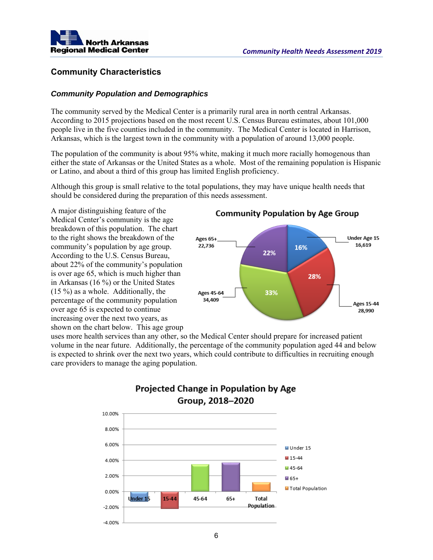

# **Community Characteristics**

# *Community Population and Demographics*

The community served by the Medical Center is a primarily rural area in north central Arkansas. According to 2015 projections based on the most recent U.S. Census Bureau estimates, about 101,000 people live in the five counties included in the community. The Medical Center is located in Harrison, Arkansas, which is the largest town in the community with a population of around 13,000 people.

The population of the community is about 95% white, making it much more racially homogenous than either the state of Arkansas or the United States as a whole. Most of the remaining population is Hispanic or Latino, and about a third of this group has limited English proficiency.

Although this group is small relative to the total populations, they may have unique health needs that should be considered during the preparation of this needs assessment.

A major distinguishing feature of the Medical Center's community is the age breakdown of this population. The chart to the right shows the breakdown of the community's population by age group. According to the U.S. Census Bureau, about 22% of the community's population is over age 65, which is much higher than in Arkansas (16 %) or the United States (15 %) as a whole. Additionally, the percentage of the community population over age 65 is expected to continue increasing over the next two years, as shown on the chart below. This age group

# **Community Population by Age Group**



uses more health services than any other, so the Medical Center should prepare for increased patient volume in the near future. Additionally, the percentage of the community population aged 44 and below is expected to shrink over the next two years, which could contribute to difficulties in recruiting enough care providers to manage the aging population.



# **Projected Change in Population by Age** Group, 2018-2020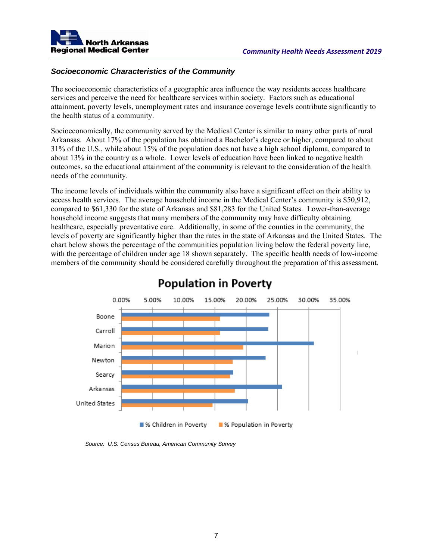

# *Socioeconomic Characteristics of the Community*

The socioeconomic characteristics of a geographic area influence the way residents access healthcare services and perceive the need for healthcare services within society. Factors such as educational attainment, poverty levels, unemployment rates and insurance coverage levels contribute significantly to the health status of a community.

Socioeconomically, the community served by the Medical Center is similar to many other parts of rural Arkansas. About 17% of the population has obtained a Bachelor's degree or higher, compared to about 31% of the U.S., while about 15% of the population does not have a high school diploma, compared to about 13% in the country as a whole. Lower levels of education have been linked to negative health outcomes, so the educational attainment of the community is relevant to the consideration of the health needs of the community.

The income levels of individuals within the community also have a significant effect on their ability to access health services. The average household income in the Medical Center's community is \$50,912, compared to \$61,330 for the state of Arkansas and \$81,283 for the United States. Lower-than-average household income suggests that many members of the community may have difficulty obtaining healthcare, especially preventative care. Additionally, in some of the counties in the community, the levels of poverty are significantly higher than the rates in the state of Arkansas and the United States. The chart below shows the percentage of the communities population living below the federal poverty line, with the percentage of children under age 18 shown separately. The specific health needs of low-income members of the community should be considered carefully throughout the preparation of this assessment.



# **Population in Poverty**

*Source: U.S. Census Bureau, American Community Survey*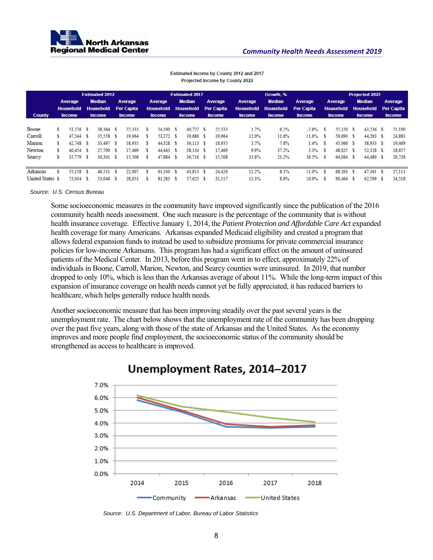

|                  | <b>Estimated 2012</b> |                  |      |                  | <b>Estimated 2017</b> |                   |              |                  |          | Growth, %        |          |                   |                  | <b>Projected 2022</b> |                   |   |                  |  |                  |  |                   |
|------------------|-----------------------|------------------|------|------------------|-----------------------|-------------------|--------------|------------------|----------|------------------|----------|-------------------|------------------|-----------------------|-------------------|---|------------------|--|------------------|--|-------------------|
|                  |                       | Average          |      | <b>Median</b>    |                       | Average           |              | Average          |          | <b>Median</b>    |          | Average           | Average          | <b>Median</b>         | Average           |   | Average          |  | <b>Median</b>    |  | Average           |
|                  |                       | <b>Household</b> |      | <b>Household</b> |                       | <b>Per Capita</b> |              | <b>Household</b> |          | <b>Household</b> |          | <b>Per Capita</b> | <b>Household</b> | <b>Household</b>      | <b>Per Capita</b> |   | <b>Household</b> |  | <b>Household</b> |  | <b>Per Capita</b> |
| <b>County</b>    |                       | <b>Income</b>    |      | <b>Income</b>    |                       | <b>Income</b>     |              | <b>Income</b>    |          | <b>Income</b>    |          | <b>Income</b>     | <b>Income</b>    | <b>Income</b>         | <b>Income</b>     |   | <b>Income</b>    |  | <b>Income</b>    |  | <b>Income</b>     |
| Boone            |                       | 53.276 \$        |      | 38.364 \$        |                       | 22.333            | $\mathbf{s}$ | 54,190 \$        |          | 40.727 S         |          | 22.333            | 1.7%             | 6.2%                  | $-2.6%$           |   | 55,120 \$        |  | $43.236$ \$      |  | 21,190            |
| Carroll          |                       | 47.544           | - \$ | 35.558 \$        |                       | 19.964            |              | 53,272           | <b>S</b> | 39,686 \$        |          | 19,964            | 12.0%            | 11.6%                 | 11.6%             |   | 59,690 \$        |  | 44.293 \$        |  | 24,883            |
| Marion           |                       | 42,748 \$        |      | 33.497 \$        |                       | 18.935            | ×.           | 44,328           | ు        | 36.113S          |          | 18.935            | 3.7%             | 7.8%                  | 1.4%              | S | 45,966 S         |  | 38,933 \$        |  | 19,469            |
| Newton           |                       | $40.454$ \$      |      | 27.790 \$        |                       | 17.469            |              | 44.443           | <b>S</b> | 38.134 \$        |          | 17,469            | 9.9%             | 37.2%                 | 3.3%              |   | 48.825 \$        |  | 52.328 \$        |  | 18.657            |
| Searcy           |                       | 35,779 \$        |      | 30.301 \$        |                       | 15.508            |              | 47,884 \$        |          | $36.716$ \$      |          | 15,508            | 33.8%            | 21.2%                 | 38.5%             |   | 64.084           |  | 44,489 \$        |  | 29.738            |
| Arkansas         |                       | 55,158 \$        |      | 40.531 \$        |                       | 22.007            |              | 61.330           | <b>S</b> | 43.813           | <b>S</b> | 24.426            | 11.2%            | 8.1%                  | 11.0%             |   | 68,193           |  | 47.361           |  | 27.111            |
| United States \$ |                       | 73.034 \$        |      | 53.046           | - S                   | 28.051            |              | 81.283           | S        | 57,625           | S        | 31,117            | 11.3%            | 8.6%                  | 10.9%             | S | 90,464           |  | 62,599           |  | 34,518            |

Estimated Income by County 2012 and 2017 Projected Income by County 2022

*Source: U.S. Census Bureau* 

Some socioeconomic measures in the community have improved significantly since the publication of the 2016 community health needs assessment. One such measure is the percentage of the community that is without health insurance coverage. Effective January 1, 2014, the *Patient Protection and Affordable Care Act* expanded health coverage for many Americans. Arkansas expanded Medicaid eligibility and created a program that allows federal expansion funds to instead be used to subsidize premiums for private commercial insurance policies for low-income Arkansans. This program has had a significant effect on the amount of uninsured patients of the Medical Center. In 2013, before this program went in to effect, approximately 22% of individuals in Boone, Carroll, Marion, Newton, and Searcy counties were uninsured. In 2019, that number dropped to only 10%, which is less than the Arkansas average of about 11%. While the long-term impact of this expansion of insurance coverage on health needs cannot yet be fully appreciated, it has reduced barriers to healthcare, which helps generally reduce health needs.

Another socioeconomic measure that has been improving steadily over the past several years is the unemployment rate. The chart below shows that the unemployment rate of the community has been dropping over the past five years, along with those of the state of Arkansas and the United States. As the economy improves and more people find employment, the socioeconomic status of the community should be strengthened as access to healthcare is improved.



# Unemployment Rates, 2014-2017

*Source: U.S. Department of Labor, Bureau of Labor Statistics*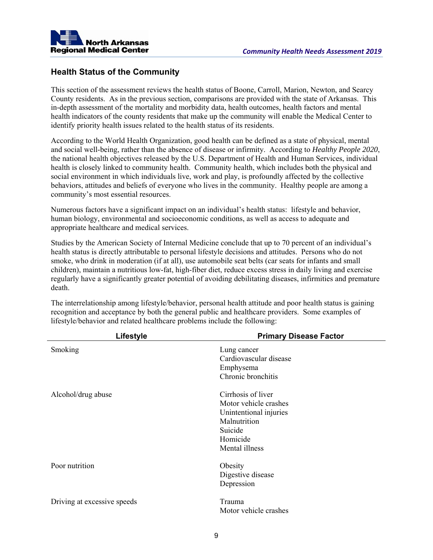

# **Health Status of the Community**

This section of the assessment reviews the health status of Boone, Carroll, Marion, Newton, and Searcy County residents. As in the previous section, comparisons are provided with the state of Arkansas. This in-depth assessment of the mortality and morbidity data, health outcomes, health factors and mental health indicators of the county residents that make up the community will enable the Medical Center to identify priority health issues related to the health status of its residents.

According to the World Health Organization, good health can be defined as a state of physical, mental and social well-being, rather than the absence of disease or infirmity. According to *Healthy People 2020*, the national health objectives released by the U.S. Department of Health and Human Services, individual health is closely linked to community health. Community health, which includes both the physical and social environment in which individuals live, work and play, is profoundly affected by the collective behaviors, attitudes and beliefs of everyone who lives in the community. Healthy people are among a community's most essential resources.

Numerous factors have a significant impact on an individual's health status: lifestyle and behavior, human biology, environmental and socioeconomic conditions, as well as access to adequate and appropriate healthcare and medical services.

Studies by the American Society of Internal Medicine conclude that up to 70 percent of an individual's health status is directly attributable to personal lifestyle decisions and attitudes. Persons who do not smoke, who drink in moderation (if at all), use automobile seat belts (car seats for infants and small children), maintain a nutritious low-fat, high-fiber diet, reduce excess stress in daily living and exercise regularly have a significantly greater potential of avoiding debilitating diseases, infirmities and premature death.

The interrelationship among lifestyle/behavior, personal health attitude and poor health status is gaining recognition and acceptance by both the general public and healthcare providers. Some examples of lifestyle/behavior and related healthcare problems include the following:

|                             | Lifestyle | <b>Primary Disease Factor</b>                                                                                                  |
|-----------------------------|-----------|--------------------------------------------------------------------------------------------------------------------------------|
| Smoking                     |           | Lung cancer<br>Cardiovascular disease<br>Emphysema<br>Chronic bronchitis                                                       |
| Alcohol/drug abuse          |           | Cirrhosis of liver<br>Motor vehicle crashes<br>Unintentional injuries<br>Malnutrition<br>Suicide<br>Homicide<br>Mental illness |
| Poor nutrition              |           | Obesity<br>Digestive disease<br>Depression                                                                                     |
| Driving at excessive speeds |           | Trauma<br>Motor vehicle crashes                                                                                                |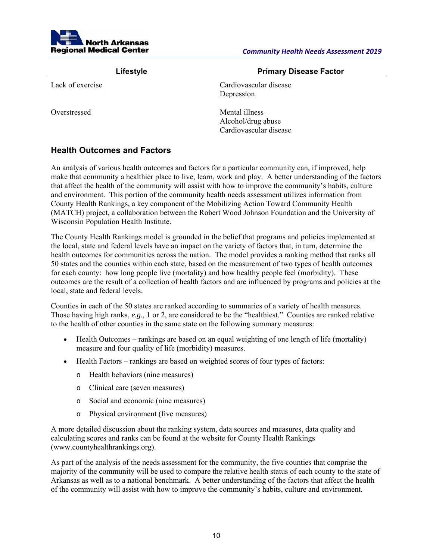

| Lifestyle        | <b>Primary Disease Factor</b>                                  |  |  |  |  |  |  |
|------------------|----------------------------------------------------------------|--|--|--|--|--|--|
| Lack of exercise | Cardiovascular disease<br>Depression                           |  |  |  |  |  |  |
| Overstressed     | Mental illness<br>Alcohol/drug abuse<br>Cardiovascular disease |  |  |  |  |  |  |

# **Health Outcomes and Factors**

An analysis of various health outcomes and factors for a particular community can, if improved, help make that community a healthier place to live, learn, work and play. A better understanding of the factors that affect the health of the community will assist with how to improve the community's habits, culture and environment. This portion of the community health needs assessment utilizes information from County Health Rankings, a key component of the Mobilizing Action Toward Community Health (MATCH) project, a collaboration between the Robert Wood Johnson Foundation and the University of Wisconsin Population Health Institute.

The County Health Rankings model is grounded in the belief that programs and policies implemented at the local, state and federal levels have an impact on the variety of factors that, in turn, determine the health outcomes for communities across the nation. The model provides a ranking method that ranks all 50 states and the counties within each state, based on the measurement of two types of health outcomes for each county: how long people live (mortality) and how healthy people feel (morbidity). These outcomes are the result of a collection of health factors and are influenced by programs and policies at the local, state and federal levels.

Counties in each of the 50 states are ranked according to summaries of a variety of health measures. Those having high ranks, *e.g.,* 1 or 2, are considered to be the "healthiest." Counties are ranked relative to the health of other counties in the same state on the following summary measures:

- Health Outcomes rankings are based on an equal weighting of one length of life (mortality) measure and four quality of life (morbidity) measures.
- Health Factors rankings are based on weighted scores of four types of factors:
	- o Health behaviors (nine measures)
	- o Clinical care (seven measures)
	- o Social and economic (nine measures)
	- o Physical environment (five measures)

A more detailed discussion about the ranking system, data sources and measures, data quality and calculating scores and ranks can be found at the website for County Health Rankings (www.countyhealthrankings.org).

As part of the analysis of the needs assessment for the community, the five counties that comprise the majority of the community will be used to compare the relative health status of each county to the state of Arkansas as well as to a national benchmark. A better understanding of the factors that affect the health of the community will assist with how to improve the community's habits, culture and environment.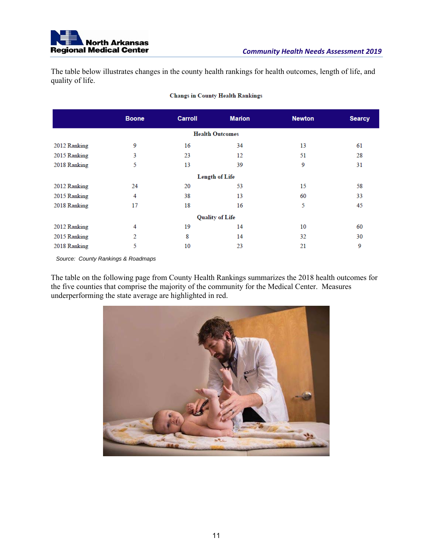

The table below illustrates changes in the county health rankings for health outcomes, length of life, and quality of life.

|              | <b>Boone</b>          | <b>Carroll</b> | <b>Marion</b>          | <b>Newton</b> | <b>Searcy</b> |  |  |  |  |  |  |  |
|--------------|-----------------------|----------------|------------------------|---------------|---------------|--|--|--|--|--|--|--|
|              |                       |                | <b>Health Outcomes</b> |               |               |  |  |  |  |  |  |  |
| 2012 Ranking | 9                     | 16             | 34                     | 13            | 61            |  |  |  |  |  |  |  |
| 2015 Ranking | 3                     | 23             | 12                     | 51            | 28            |  |  |  |  |  |  |  |
| 2018 Ranking | 5                     | 13             | 39                     | 9             | 31            |  |  |  |  |  |  |  |
|              | <b>Length of Life</b> |                |                        |               |               |  |  |  |  |  |  |  |
| 2012 Ranking | 24                    | 20             | 53                     | 15            | 58            |  |  |  |  |  |  |  |
| 2015 Ranking | 4                     | 38             | 13                     | 60            | 33            |  |  |  |  |  |  |  |
| 2018 Ranking | 17                    | 18             | 16                     | 5             | 45            |  |  |  |  |  |  |  |
|              |                       |                | <b>Quality of Life</b> |               |               |  |  |  |  |  |  |  |
| 2012 Ranking | 4                     | 19             | 14                     | 10            | 60            |  |  |  |  |  |  |  |
| 2015 Ranking | 2                     | 8              | 14                     | 32            | 30            |  |  |  |  |  |  |  |
| 2018 Ranking | 5                     | 10             | 23                     | 21            | 9             |  |  |  |  |  |  |  |

#### **Changs in County Health Rankings**

*Source: County Rankings & Roadmaps* 

The table on the following page from County Health Rankings summarizes the 2018 health outcomes for the five counties that comprise the majority of the community for the Medical Center. Measures underperforming the state average are highlighted in red.

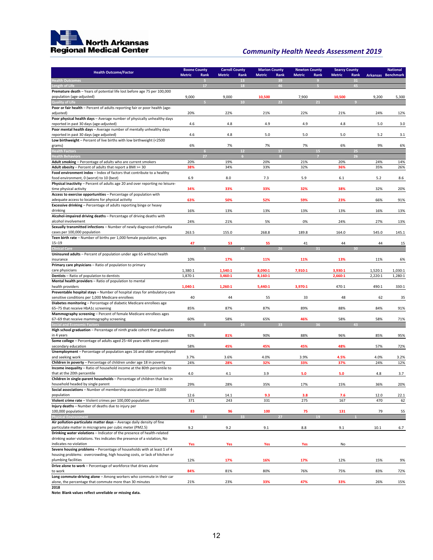

| <b>Health Outcome/Factor</b>                                                                                                                    | <b>Boone County</b> |           | <b>Carroll County</b> |                | <b>Marion County</b> |                | <b>Newton County</b> |                  | <b>Searcy County</b> |            |                    | <b>National</b>    |  |
|-------------------------------------------------------------------------------------------------------------------------------------------------|---------------------|-----------|-----------------------|----------------|----------------------|----------------|----------------------|------------------|----------------------|------------|--------------------|--------------------|--|
|                                                                                                                                                 | <b>Metric</b>       | Rank<br>B | <b>Metric</b>         | Rank<br>13     | <b>Metric</b>        | Rank<br>39     | <b>Metric</b>        | Rank<br>$\theta$ | <b>Metric</b>        | Rank<br>31 | Arkansas Benchmark |                    |  |
| <b>Health Outcomes</b><br>ength of Life                                                                                                         |                     | 17        |                       | 18             |                      | 46             |                      |                  |                      | 45         |                    |                    |  |
| Premature death - Years of potential life lost before age 75 per 100,000                                                                        |                     |           |                       |                |                      |                |                      |                  |                      |            |                    |                    |  |
| population (age-adjusted)                                                                                                                       | 9,000               |           | 9,000                 |                | 10,500               |                | 7,900                |                  | 10,500               |            | 9,200              | 5,300              |  |
| <b>Quality of Life</b><br>Poor or fair health - Percent of adults reporting fair or poor health (age-                                           |                     |           |                       | 10             |                      | 2 <sub>3</sub> |                      | 21               |                      |            |                    |                    |  |
| adjusted)                                                                                                                                       | 20%                 |           | 22%                   |                | 21%                  |                | 22%                  |                  | 21%                  |            | 24%                | 12%                |  |
| Poor physical health days - Average number of physically unhealthy days                                                                         |                     |           |                       |                |                      |                |                      |                  |                      |            |                    |                    |  |
| reported in past 30 days (age-adjusted)                                                                                                         | 4.6                 |           | 4.8                   |                | 4.9                  |                | 4.9                  |                  | 4.8                  |            | 5.0                | 3.0                |  |
| Poor mental health days - Average number of mentally unhealthy days                                                                             |                     |           |                       |                |                      |                |                      |                  |                      |            |                    |                    |  |
| reported in past 30 days (age adjusted)<br>Low birthweight - Percent of live births with low birthweight (<2500                                 | 4.6                 |           | 4.8                   |                | 5.0                  |                | 5.0                  |                  | 5.0                  |            | 5.2                | 3.1                |  |
| grams)                                                                                                                                          | 6%                  |           | 7%                    |                | 7%                   |                | 7%                   |                  | 6%                   |            | 9%                 | 6%                 |  |
| <b>Health Factors</b>                                                                                                                           |                     | 6         |                       | 12             |                      | 17             |                      | 15               |                      | 25         |                    |                    |  |
| <b>Health Behaviors</b>                                                                                                                         |                     | 27        |                       | 6 <sup>1</sup> |                      | 8              |                      | 7                |                      | 26         |                    |                    |  |
| Adult smoking - Percentage of adults who are current smokers                                                                                    | 20%                 |           | 19%                   |                | 20%                  |                | 21%                  |                  | 20%                  |            | 24%                | 14%                |  |
| Adult obesity - Percent of adults that report a BMI >= 30<br>Food environment index - Index of factors that contribute to a healthy             | 38%                 |           | 34%                   |                | 33%                  |                | 32%                  |                  | 36%                  |            | 35%                | 26%                |  |
| food environment, 0 (worst) to 10 (best)                                                                                                        | 6.9                 |           | 8.0                   |                | 7.3                  |                | 5.9                  |                  | 6.1                  |            | 5.2                | 8.6                |  |
| Physical inactivity - Percent of adults age 20 and over reporting no leisure-                                                                   |                     |           |                       |                |                      |                |                      |                  |                      |            |                    |                    |  |
| time physical activity                                                                                                                          | 34%                 |           | 33%                   |                | 33%                  |                | 32%                  |                  | 38%                  |            | 32%                | 20%                |  |
| Access to exercise opportunities - Percentage of population with                                                                                |                     |           |                       |                |                      |                |                      |                  |                      |            |                    |                    |  |
| adequate access to locations for physical activity<br>Excessive drinking - Percentage of adults reporting binge or heavy                        | 63%                 |           | 50%                   |                | 52%                  |                | 59%                  |                  | 23%                  |            | 66%                | 91%                |  |
| drinking                                                                                                                                        | 16%                 |           | 13%                   |                | 13%                  |                | 13%                  |                  | 13%                  |            | 16%                | 13%                |  |
| Alcohol-impaired driving deaths - Percentage of driving deaths with                                                                             |                     |           |                       |                |                      |                |                      |                  |                      |            |                    |                    |  |
| alcohol involvement                                                                                                                             | 24%                 |           | 21%                   |                | 5%                   |                | 0%                   |                  | 24%                  |            | 27%                | 13%                |  |
| Sexually transmitted infections - Number of newly diagnosed chlamydia                                                                           |                     |           |                       |                |                      |                |                      |                  |                      |            |                    |                    |  |
| cases per 100,000 population                                                                                                                    | 263.5               |           | 155.0                 |                | 268.8                |                | 189.8                |                  | 164.0                |            | 545.0              | 145.1              |  |
| Teen birth rate - Number of births per 1,000 female population, ages<br>$15 - 19$                                                               | 47                  |           | 53                    |                | 55                   |                | 41                   |                  | 44                   |            | 44                 | 15                 |  |
| <b>Clinical Care</b>                                                                                                                            |                     |           |                       |                |                      |                |                      |                  |                      | 30         |                    |                    |  |
| Uninsured adults - Percent of population under age 65 without health                                                                            |                     |           |                       |                |                      |                |                      |                  |                      |            |                    |                    |  |
| insurance                                                                                                                                       | 10%                 |           | 17%                   |                | 11%                  |                | 11%                  |                  | 13%                  |            | 11%                | 6%                 |  |
| Primary care physicians - Ratio of population to primary                                                                                        |                     |           |                       |                |                      |                |                      |                  |                      |            |                    |                    |  |
| care physicians<br>Dentists - Ratio of population to dentists                                                                                   | 1,380:1<br>1,870:1  |           | 1,540:1<br>3,460:1    |                | 8,090:1<br>8,160:1   |                | 7,910:1              |                  | 3,930:1<br>2,660:1   |            | 1,520:1<br>2,220:1 | 1,030:1<br>1,280:1 |  |
| Mental health providers - Ratio of population to mental                                                                                         |                     |           |                       |                |                      |                |                      |                  |                      |            |                    |                    |  |
| health providers                                                                                                                                | 1,040:1             |           | 1,260:1               |                | 5,440:1              |                | 3,970:1              |                  | 470:1                |            | 490:1              | 330:1              |  |
| Preventable hospital stays - Number of hospital stays for ambulatory-care                                                                       |                     |           |                       |                |                      |                |                      |                  |                      |            |                    |                    |  |
| sensitive conditions per 1,000 Medicare enrollees<br>Diabetes monitoring - Percentage of diabetic Medicare enrollees age                        | 40                  |           | 44                    |                | 55                   |                | 33                   |                  | 48                   |            | 62                 | 35                 |  |
| 65-75 that receive HbA1c screening                                                                                                              | 85%                 |           | 87%                   |                | 87%                  |                | 89%                  |                  | 88%                  |            | 84%                | 91%                |  |
| Mammography screening - Percent of female Medicare enrollees ages                                                                               |                     |           |                       |                |                      |                |                      |                  |                      |            |                    |                    |  |
| 67-69 that receive mammography screening                                                                                                        | 60%                 |           | 58%                   |                | 65%                  |                | 46%                  |                  | 58%                  |            | 58%                | 71%                |  |
| <b>Social and Economic Factors</b>                                                                                                              |                     |           |                       | 24             |                      | 33             |                      | 36               |                      | 43         |                    |                    |  |
| High school graduation - Percentage of ninth grade cohort that graduates<br>in 4 years                                                          | 92%                 |           | 81%                   |                | 90%                  |                | 88%                  |                  | 96%                  |            | 85%                | 95%                |  |
| Some college - Percentage of adults aged 25-44 years with some post-                                                                            |                     |           |                       |                |                      |                |                      |                  |                      |            |                    |                    |  |
| secondary education                                                                                                                             | 58%                 |           | 45%                   |                | 45%                  |                | 45%                  |                  | 48%                  |            | 57%                | 72%                |  |
| Unemployment - Percentage of population ages 16 and older unemployed                                                                            |                     |           |                       |                |                      |                |                      |                  |                      |            |                    |                    |  |
| and seeking work                                                                                                                                | 3.7%                |           | 3.6%                  |                | 4.0%                 |                | 3.9%                 |                  | 4.5%                 |            | 4.0%               | 3.2%               |  |
| Children in poverty - Percentage of children under age 18 in poverty<br>Income inequality - Ratio of household income at the 80th percentile to | 24%                 |           | 28%                   |                | 32%                  |                | 33%                  |                  | 37%                  |            | 24%                | 12%                |  |
| that at the 20th percentile                                                                                                                     | 4.0                 |           | 4.1                   |                | 3.9                  |                | 5.0                  |                  | 5.0                  |            | 4.8                | 3.7                |  |
| Children in single-parent households - Percentage of children that live in                                                                      |                     |           |                       |                |                      |                |                      |                  |                      |            |                    |                    |  |
| household headed by single parent                                                                                                               | 29%                 |           | 28%                   |                | 35%                  |                | 17%                  |                  | 15%                  |            | 36%                | 20%                |  |
| Social associations - Number of membership associations per 10,000                                                                              |                     |           |                       |                |                      |                |                      |                  |                      |            |                    |                    |  |
| population<br>Violent crime rate - Violent crimes per 100,000 population                                                                        | 12.6<br>371         |           | 14.1<br>243           |                | 9.3<br>331           |                | 3.8<br>275           |                  | 7.6<br>167           |            | 12.0<br>470        | 22.1<br>62         |  |
| Injury deaths - Number of deaths due to injury per                                                                                              |                     |           |                       |                |                      |                |                      |                  |                      |            |                    |                    |  |
| 100,000 population                                                                                                                              | 83                  |           | 96                    |                | 100                  |                | 75                   |                  | 131                  |            | 79                 | 55                 |  |
| <b>Physical Environment</b>                                                                                                                     |                     |           |                       | ЕE             |                      | 27             |                      |                  |                      |            |                    |                    |  |
| Air pollution-particulate matter days - Average daily density of fine                                                                           |                     |           |                       |                |                      |                |                      |                  |                      |            |                    |                    |  |
| particulate matter in micrograms per cubic meter (PM2.5)<br>Drinking water violations - Indicator of the presence of health-related             | 9.2                 |           | 9.2                   |                | 9.1                  |                | 8.8                  |                  | 9.1                  |            | 10.1               | 6.7                |  |
| drinking water violations. Yes indicates the presence of a violation, No                                                                        |                     |           |                       |                |                      |                |                      |                  |                      |            |                    |                    |  |
| indicates no violation                                                                                                                          | Yes                 |           | Yes                   |                | Yes                  |                | Yes                  |                  | No                   |            |                    |                    |  |
| Severe housing problems - Percentage of households with at least 1 of 4                                                                         |                     |           |                       |                |                      |                |                      |                  |                      |            |                    |                    |  |
| housing problems: overcrowding, high housing costs, or lack of kitchen or                                                                       |                     |           |                       |                |                      |                |                      |                  |                      |            |                    |                    |  |
| plumbing facilities<br>Drive alone to work - Percentage of workforce that drives alone                                                          | 12%                 |           | 17%                   |                | 16%                  |                | 17%                  |                  | 12%                  |            | 15%                | 9%                 |  |
| to work                                                                                                                                         | 84%                 |           | 81%                   |                | 80%                  |                | 76%                  |                  | 75%                  |            | 83%                | 72%                |  |
| Long commute-driving alone - Among workers who commute in their car                                                                             |                     |           |                       |                |                      |                |                      |                  |                      |            |                    |                    |  |
| alone, the percentage that commute more than 30 minutes                                                                                         | 21%                 |           | 23%                   |                | 33%                  |                | 47%                  |                  | 33%                  |            | 26%                | 15%                |  |
| 2018                                                                                                                                            |                     |           |                       |                |                      |                |                      |                  |                      |            |                    |                    |  |
| Note: Blank values reflect unreliable or missing data.                                                                                          |                     |           |                       |                |                      |                |                      |                  |                      |            |                    |                    |  |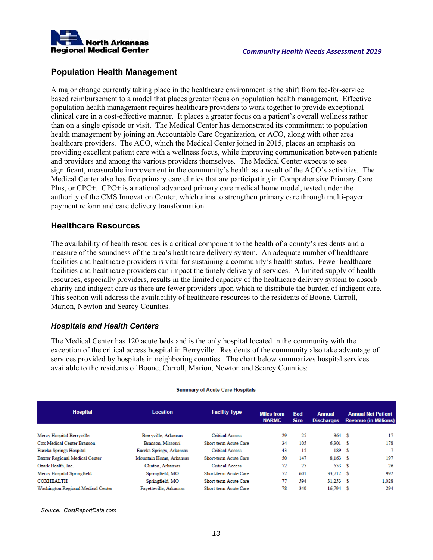

# **Population Health Management**

A major change currently taking place in the healthcare environment is the shift from fee-for-service based reimbursement to a model that places greater focus on population health management. Effective population health management requires healthcare providers to work together to provide exceptional clinical care in a cost-effective manner. It places a greater focus on a patient's overall wellness rather than on a single episode or visit. The Medical Center has demonstrated its commitment to population health management by joining an Accountable Care Organization, or ACO, along with other area healthcare providers. The ACO, which the Medical Center joined in 2015, places an emphasis on providing excellent patient care with a wellness focus, while improving communication between patients and providers and among the various providers themselves. The Medical Center expects to see significant, measurable improvement in the community's health as a result of the ACO's activities. The Medical Center also has five primary care clinics that are participating in Comprehensive Primary Care Plus, or CPC+. CPC+ is a national advanced primary care medical home model, tested under the authority of the CMS Innovation Center, which aims to strengthen primary care through multi-payer payment reform and care delivery transformation.

# **Healthcare Resources**

The availability of health resources is a critical component to the health of a county's residents and a measure of the soundness of the area's healthcare delivery system. An adequate number of healthcare facilities and healthcare providers is vital for sustaining a community's health status. Fewer healthcare facilities and healthcare providers can impact the timely delivery of services. A limited supply of health resources, especially providers, results in the limited capacity of the healthcare delivery system to absorb charity and indigent care as there are fewer providers upon which to distribute the burden of indigent care. This section will address the availability of healthcare resources to the residents of Boone, Carroll, Marion, Newton and Searcy Counties.

# *Hospitals and Health Centers*

The Medical Center has 120 acute beds and is the only hospital located in the community with the exception of the critical access hospital in Berryville. Residents of the community also take advantage of services provided by hospitals in neighboring counties. The chart below summarizes hospital services available to the residents of Boone, Carroll, Marion, Newton and Searcy Counties:

| <b>Hospital</b>                    | <b>Location</b>          | <b>Facility Type</b>         | <b>Miles from</b> | <b>Bed</b>  | <b>Annual</b>     |      | <b>Annual Net Patient</b>    |
|------------------------------------|--------------------------|------------------------------|-------------------|-------------|-------------------|------|------------------------------|
|                                    |                          |                              | <b>NARMC</b>      | <b>Size</b> | <b>Discharges</b> |      | <b>Revenue (in Millions)</b> |
| Mercy Hospital Berryville          | Berryville, Arkansas     | <b>Critical Access</b>       | 29                | 25          | 364S              |      | 17                           |
| Cox Medical Center Branson         | Branson, Missouri        | <b>Short-term Acute Care</b> | 34                | 105         | 6.301S            |      | 178                          |
| Eureka Springs Hospital            | Eureka Springs, Arkansas | <b>Critical Access</b>       | 43                | 15          | 189               | - \$ |                              |
| Baxter Regional Medical Center     | Mountain Home, Arkansas  | Short-term Acute Care        | 50                | 147         | $8,163$ \$        |      | 197                          |
| Ozark Health, Inc.                 | Clinton, Arkansas        | <b>Critical Access</b>       | 72                | 25          | 553 \$            |      | 26                           |
| Mercy Hospital Springfield         | Springfield, MO          | <b>Short-term Acute Care</b> | 72                | 601         | 33,712 \$         |      | 992                          |
| <b>COXHEALTH</b>                   | Springfield, MO          | Short-term Acute Care        | 77                | 594         | $31.253$ \$       |      | 1.028                        |
| Washington Regional Medical Center | Favetteville, Arkansas   | Short-term Acute Care        | 78                | 340         | $16,794$ \$       |      | 294                          |

#### **Summary of Acute Care Hospitals**

*Source: CostReportData.com*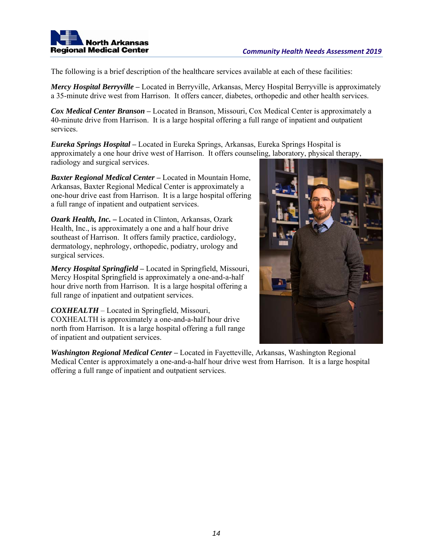

The following is a brief description of the healthcare services available at each of these facilities:

*Mercy Hospital Berryville* **–** Located in Berryville, Arkansas, Mercy Hospital Berryville is approximately a 35-minute drive west from Harrison. It offers cancer, diabetes, orthopedic and other health services.

*Cox Medical Center Branson* **–** Located in Branson, Missouri, Cox Medical Center is approximately a 40-minute drive from Harrison. It is a large hospital offering a full range of inpatient and outpatient services.

*Eureka Springs Hospital* **–** Located in Eureka Springs, Arkansas, Eureka Springs Hospital is approximately a one hour drive west of Harrison. It offers counseling, laboratory, physical therapy, radiology and surgical services.

*Baxter Regional Medical Center* **–** Located in Mountain Home, Arkansas, Baxter Regional Medical Center is approximately a one-hour drive east from Harrison. It is a large hospital offering a full range of inpatient and outpatient services.

*Ozark Health, Inc. –* Located in Clinton, Arkansas, Ozark Health, Inc., is approximately a one and a half hour drive southeast of Harrison. It offers family practice, cardiology, dermatology, nephrology, orthopedic, podiatry, urology and surgical services.

*Mercy Hospital Springfield* **–** Located in Springfield, Missouri, Mercy Hospital Springfield is approximately a one-and-a-half hour drive north from Harrison. It is a large hospital offering a full range of inpatient and outpatient services.

*COXHEALTH* – Located in Springfield, Missouri, COXHEALTH is approximately a one-and-a-half hour drive north from Harrison. It is a large hospital offering a full range of inpatient and outpatient services.

*Washington Regional Medical Center* **–** Located in Fayetteville, Arkansas, Washington Regional Medical Center is approximately a one-and-a-half hour drive west from Harrison. It is a large hospital offering a full range of inpatient and outpatient services.

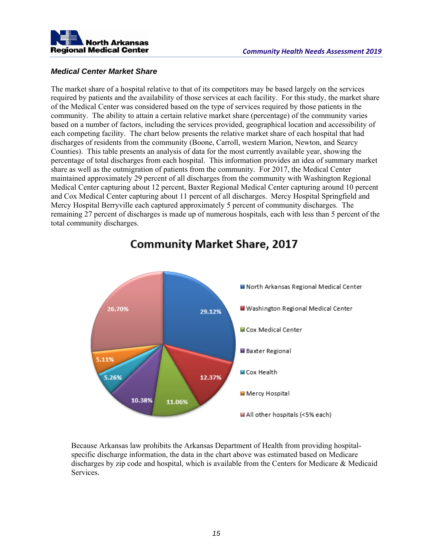

# *Medical Center Market Share*

The market share of a hospital relative to that of its competitors may be based largely on the services required by patients and the availability of those services at each facility. For this study, the market share of the Medical Center was considered based on the type of services required by those patients in the community. The ability to attain a certain relative market share (percentage) of the community varies based on a number of factors, including the services provided, geographical location and accessibility of each competing facility. The chart below presents the relative market share of each hospital that had discharges of residents from the community (Boone, Carroll, western Marion, Newton, and Searcy Counties). This table presents an analysis of data for the most currently available year, showing the percentage of total discharges from each hospital. This information provides an idea of summary market share as well as the outmigration of patients from the community. For 2017, the Medical Center maintained approximately 29 percent of all discharges from the community with Washington Regional Medical Center capturing about 12 percent, Baxter Regional Medical Center capturing around 10 percent and Cox Medical Center capturing about 11 percent of all discharges. Mercy Hospital Springfield and Mercy Hospital Berryville each captured approximately 5 percent of community discharges. The remaining 27 percent of discharges is made up of numerous hospitals, each with less than 5 percent of the total community discharges.



# **Community Market Share, 2017**

Because Arkansas law prohibits the Arkansas Department of Health from providing hospitalspecific discharge information, the data in the chart above was estimated based on Medicare discharges by zip code and hospital, which is available from the Centers for Medicare & Medicaid Services.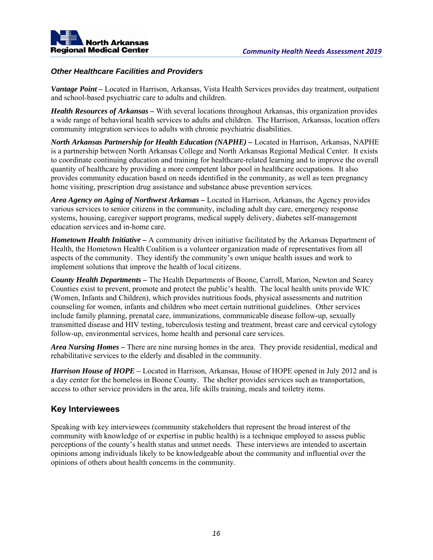

# *Other Healthcare Facilities and Providers*

*Vantage Point –* Located in Harrison, Arkansas, Vista Health Services provides day treatment, outpatient and school-based psychiatric care to adults and children.

*Health Resources of Arkansas –* With several locations throughout Arkansas, this organization provides a wide range of behavioral health services to adults and children. The Harrison, Arkansas, location offers community integration services to adults with chronic psychiatric disabilities.

*North Arkansas Partnership for Health Education (NAPHE)* – Located in Harrison, Arkansas, NAPHE is a partnership between North Arkansas College and North Arkansas Regional Medical Center. It exists to coordinate continuing education and training for healthcare-related learning and to improve the overall quantity of healthcare by providing a more competent labor pool in healthcare occupations. It also provides community education based on needs identified in the community, as well as teen pregnancy home visiting, prescription drug assistance and substance abuse prevention services.

*Area Agency on Aging of Northwest Arkansas –* Located in Harrison, Arkansas, the Agency provides various services to senior citizens in the community, including adult day care, emergency response systems, housing, caregiver support programs, medical supply delivery, diabetes self-management education services and in-home care.

*Hometown Health Initiative – A community driven initiative facilitated by the Arkansas Department of* Health, the Hometown Health Coalition is a volunteer organization made of representatives from all aspects of the community. They identify the community's own unique health issues and work to implement solutions that improve the health of local citizens.

*County Health Departments –* The Health Departments of Boone, Carroll, Marion, Newton and Searcy Counties exist to prevent, promote and protect the public's health. The local health units provide WIC (Women, Infants and Children), which provides nutritious foods, physical assessments and nutrition counseling for women, infants and children who meet certain nutritional guidelines. Other services include family planning, prenatal care, immunizations, communicable disease follow-up, sexually transmitted disease and HIV testing, tuberculosis testing and treatment, breast care and cervical cytology follow-up, environmental services, home health and personal care services.

*Area Nursing Homes –* There are nine nursing homes in the area. They provide residential, medical and rehabilitative services to the elderly and disabled in the community.

*Harrison House of HOPE* **–** Located in Harrison, Arkansas, House of HOPE opened in July 2012 and is a day center for the homeless in Boone County. The shelter provides services such as transportation, access to other service providers in the area, life skills training, meals and toiletry items.

# **Key Interviewees**

Speaking with key interviewees (community stakeholders that represent the broad interest of the community with knowledge of or expertise in public health) is a technique employed to assess public perceptions of the county's health status and unmet needs. These interviews are intended to ascertain opinions among individuals likely to be knowledgeable about the community and influential over the opinions of others about health concerns in the community.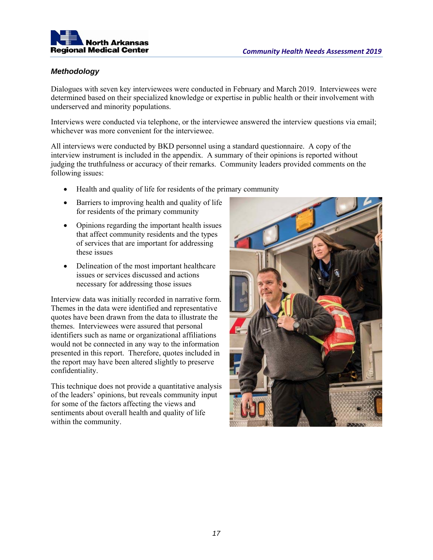

# *Methodology*

Dialogues with seven key interviewees were conducted in February and March 2019. Interviewees were determined based on their specialized knowledge or expertise in public health or their involvement with underserved and minority populations.

Interviews were conducted via telephone, or the interviewee answered the interview questions via email; whichever was more convenient for the interviewee.

All interviews were conducted by BKD personnel using a standard questionnaire. A copy of the interview instrument is included in the appendix. A summary of their opinions is reported without judging the truthfulness or accuracy of their remarks. Community leaders provided comments on the following issues:

- Health and quality of life for residents of the primary community
- Barriers to improving health and quality of life for residents of the primary community
- Opinions regarding the important health issues that affect community residents and the types of services that are important for addressing these issues
- Delineation of the most important healthcare issues or services discussed and actions necessary for addressing those issues

Interview data was initially recorded in narrative form. Themes in the data were identified and representative quotes have been drawn from the data to illustrate the themes. Interviewees were assured that personal identifiers such as name or organizational affiliations would not be connected in any way to the information presented in this report. Therefore, quotes included in the report may have been altered slightly to preserve confidentiality.

This technique does not provide a quantitative analysis of the leaders' opinions, but reveals community input for some of the factors affecting the views and sentiments about overall health and quality of life within the community.

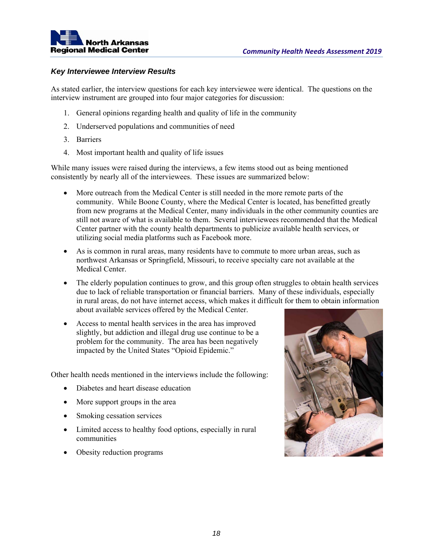

# *Key Interviewee Interview Results*

As stated earlier, the interview questions for each key interviewee were identical. The questions on the interview instrument are grouped into four major categories for discussion:

- 1. General opinions regarding health and quality of life in the community
- 2. Underserved populations and communities of need
- 3. Barriers
- 4. Most important health and quality of life issues

While many issues were raised during the interviews, a few items stood out as being mentioned consistently by nearly all of the interviewees. These issues are summarized below:

- More outreach from the Medical Center is still needed in the more remote parts of the community. While Boone County, where the Medical Center is located, has benefitted greatly from new programs at the Medical Center, many individuals in the other community counties are still not aware of what is available to them. Several interviewees recommended that the Medical Center partner with the county health departments to publicize available health services, or utilizing social media platforms such as Facebook more.
- As is common in rural areas, many residents have to commute to more urban areas, such as northwest Arkansas or Springfield, Missouri, to receive specialty care not available at the Medical Center.
- The elderly population continues to grow, and this group often struggles to obtain health services due to lack of reliable transportation or financial barriers. Many of these individuals, especially in rural areas, do not have internet access, which makes it difficult for them to obtain information about available services offered by the Medical Center.
- Access to mental health services in the area has improved slightly, but addiction and illegal drug use continue to be a problem for the community. The area has been negatively impacted by the United States "Opioid Epidemic."

Other health needs mentioned in the interviews include the following:

- Diabetes and heart disease education
- More support groups in the area
- Smoking cessation services
- Limited access to healthy food options, especially in rural communities
- Obesity reduction programs

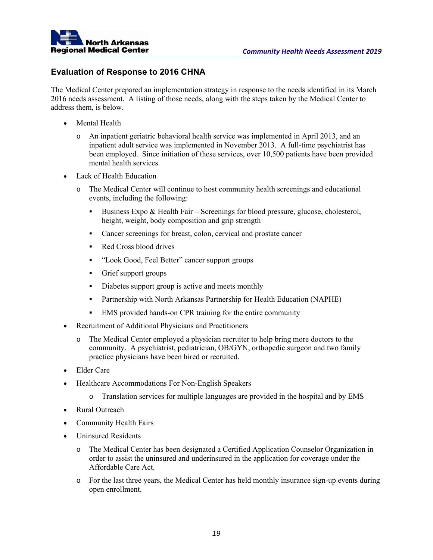

# **Evaluation of Response to 2016 CHNA**

The Medical Center prepared an implementation strategy in response to the needs identified in its March 2016 needs assessment. A listing of those needs, along with the steps taken by the Medical Center to address them, is below.

- Mental Health
	- o An inpatient geriatric behavioral health service was implemented in April 2013, and an inpatient adult service was implemented in November 2013. A full-time psychiatrist has been employed. Since initiation of these services, over 10,500 patients have been provided mental health services.
- Lack of Health Education
	- o The Medical Center will continue to host community health screenings and educational events, including the following:
		- Business Expo & Health Fair Screenings for blood pressure, glucose, cholesterol, height, weight, body composition and grip strength
		- Cancer screenings for breast, colon, cervical and prostate cancer
		- Red Cross blood drives
		- "Look Good, Feel Better" cancer support groups
		- Grief support groups
		- Diabetes support group is active and meets monthly
		- Partnership with North Arkansas Partnership for Health Education (NAPHE)
		- EMS provided hands-on CPR training for the entire community
- Recruitment of Additional Physicians and Practitioners
	- o The Medical Center employed a physician recruiter to help bring more doctors to the community. A psychiatrist, pediatrician, OB/GYN, orthopedic surgeon and two family practice physicians have been hired or recruited.
- Elder Care
- Healthcare Accommodations For Non-English Speakers
	- o Translation services for multiple languages are provided in the hospital and by EMS
- Rural Outreach
- Community Health Fairs
- Uninsured Residents
	- The Medical Center has been designated a Certified Application Counselor Organization in order to assist the uninsured and underinsured in the application for coverage under the Affordable Care Act.
	- o For the last three years, the Medical Center has held monthly insurance sign-up events during open enrollment.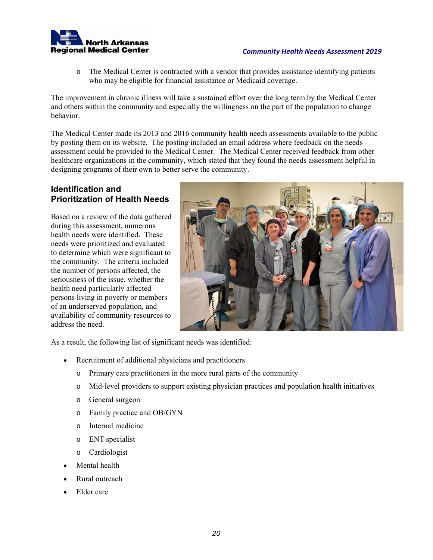

o The Medical Center is contracted with a vendor that provides assistance identifying patients who may be eligible for financial assistance or Medicaid coverage.

The improvement in chronic illness will take a sustained effort over the long term by the Medical Center and others within the community and especially the willingness on the part of the population to change behavior.

The Medical Center made its 2013 and 2016 community health needs assessments available to the public by posting them on its website. The posting included an email address where feedback on the needs assessment could be provided to the Medical Center. The Medical Center received feedback from other healthcare organizations in the community, which stated that they found the needs assessment helpful in designing programs of their own to better serve the community.

# **Identification and Prioritization of Health Needs**

Based on a review of the data gathered during this assessment, numerous health needs were identified. These needs were prioritized and evaluated to determine which were significant to the community. The criteria included the number of persons affected, the seriousness of the issue, whether the health need particularly affected persons living in poverty or members of an underserved population, and availability of community resources to address the need.



As a result, the following list of significant needs was identified:

- Recruitment of additional physicians and practitioners
	- o Primary care practitioners in the more rural parts of the community
	- o Mid-level providers to support existing physician practices and population health initiatives
	- o General surgeon
	- o Family practice and OB/GYN
	- o Internal medicine
	- o ENT specialist
	- o Cardiologist
- Mental health
- Rural outreach
- Elder care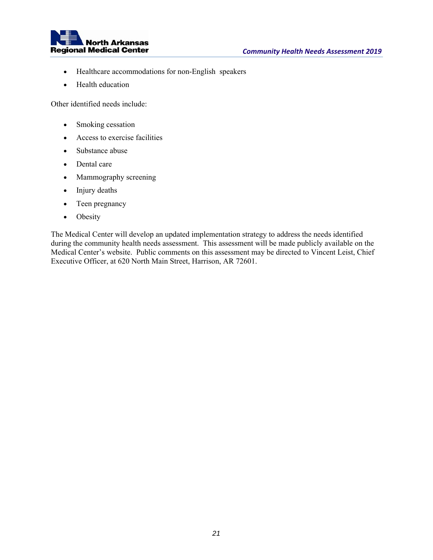

- Healthcare accommodations for non-English speakers
- Health education

Other identified needs include:

- Smoking cessation
- Access to exercise facilities
- Substance abuse
- Dental care
- Mammography screening
- Injury deaths
- Teen pregnancy
- Obesity

The Medical Center will develop an updated implementation strategy to address the needs identified during the community health needs assessment. This assessment will be made publicly available on the Medical Center's website. Public comments on this assessment may be directed to Vincent Leist, Chief Executive Officer, at 620 North Main Street, Harrison, AR 72601.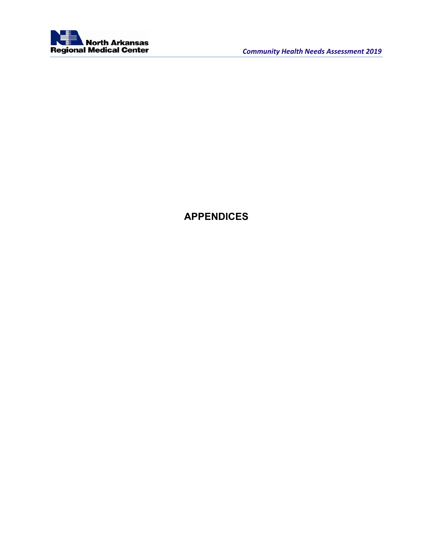

# **APPENDICES**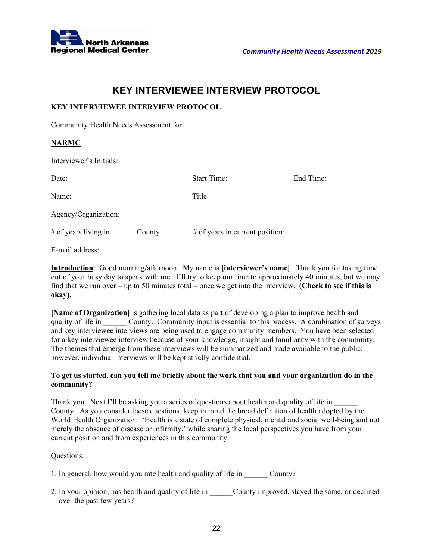

# **KEY INTERVIEWEE INTERVIEW PROTOCOL**

# **KEY INTERVIEWEE INTERVIEW PROTOCOL**

Community Health Needs Assessment for:

# **NARMC**

Interviewer's Initials:

| Date:                             | <b>Start Time:</b>              | End Time: |
|-----------------------------------|---------------------------------|-----------|
| Name:                             | Title:                          |           |
| Agency/Organization:              |                                 |           |
| $#$ of years living in<br>County: | # of years in current position: |           |

E-mail address:

**Introduction**: Good morning/afternoon. My name is **[interviewer's name]**. Thank you for taking time out of your busy day to speak with me. I'll try to keep our time to approximately 40 minutes, but we may find that we run over – up to 50 minutes total – once we get into the interview. **(Check to see if this is okay).**

**[Name of Organization]** is gathering local data as part of developing a plan to improve health and quality of life in County. Community input is essential to this process. A combination of surveys and key interviewee interviews are being used to engage community members. You have been selected for a key interviewee interview because of your knowledge, insight and familiarity with the community. The themes that emerge from these interviews will be summarized and made available to the public; however, individual interviews will be kept strictly confidential.

# **To get us started, can you tell me briefly about the work that you and your organization do in the community?**

Thank you. Next I'll be asking you a series of questions about health and quality of life in \_\_\_\_\_\_ County. As you consider these questions, keep in mind the broad definition of health adopted by the World Health Organization: 'Health is a state of complete physical, mental and social well-being and not merely the absence of disease or infirmity,' while sharing the local perspectives you have from your current position and from experiences in this community.

Questions:

|  | 1. In general, how would you rate health and quality of life in |  | County? |
|--|-----------------------------------------------------------------|--|---------|
|  |                                                                 |  |         |

2. In your opinion, has health and quality of life in County improved, stayed the same, or declined over the past few years?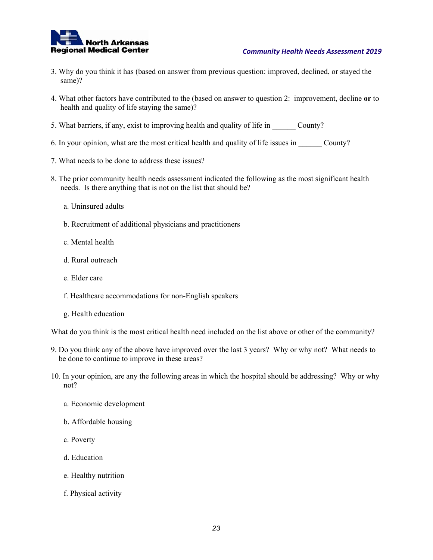

- 3. Why do you think it has (based on answer from previous question: improved, declined, or stayed the same)?
- 4. What other factors have contributed to the (based on answer to question 2: improvement, decline **or** to health and quality of life staying the same)?
- 5. What barriers, if any, exist to improving health and quality of life in County?
- 6. In your opinion, what are the most critical health and quality of life issues in County?
- 7. What needs to be done to address these issues?
- 8. The prior community health needs assessment indicated the following as the most significant health needs. Is there anything that is not on the list that should be?
	- a. Uninsured adults
	- b. Recruitment of additional physicians and practitioners
	- c. Mental health
	- d. Rural outreach
	- e. Elder care
	- f. Healthcare accommodations for non-English speakers
	- g. Health education

What do you think is the most critical health need included on the list above or other of the community?

- 9. Do you think any of the above have improved over the last 3 years? Why or why not? What needs to be done to continue to improve in these areas?
- 10. In your opinion, are any the following areas in which the hospital should be addressing? Why or why not?
	- a. Economic development
	- b. Affordable housing
	- c. Poverty
	- d. Education
	- e. Healthy nutrition
	- f. Physical activity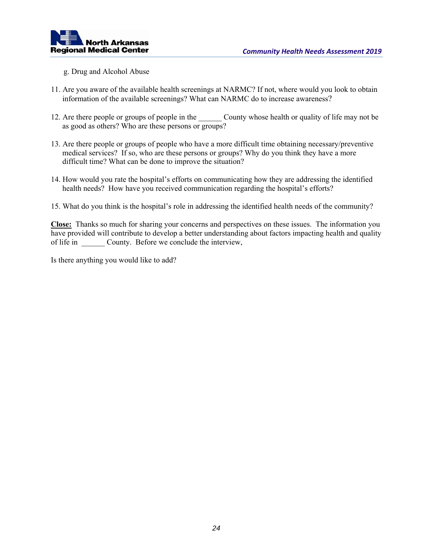

- g. Drug and Alcohol Abuse
- 11. Are you aware of the available health screenings at NARMC? If not, where would you look to obtain information of the available screenings? What can NARMC do to increase awareness?
- 12. Are there people or groups of people in the County whose health or quality of life may not be as good as others? Who are these persons or groups?
- 13. Are there people or groups of people who have a more difficult time obtaining necessary/preventive medical services? If so, who are these persons or groups? Why do you think they have a more difficult time? What can be done to improve the situation?
- 14. How would you rate the hospital's efforts on communicating how they are addressing the identified health needs? How have you received communication regarding the hospital's efforts?
- 15. What do you think is the hospital's role in addressing the identified health needs of the community?

**Close:** Thanks so much for sharing your concerns and perspectives on these issues. The information you have provided will contribute to develop a better understanding about factors impacting health and quality of life in County. Before we conclude the interview,

Is there anything you would like to add?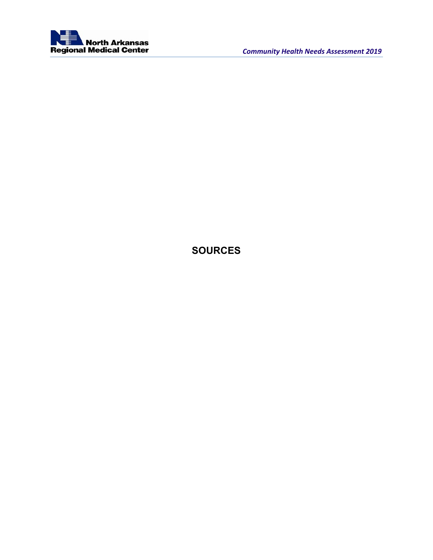

# **SOURCES**